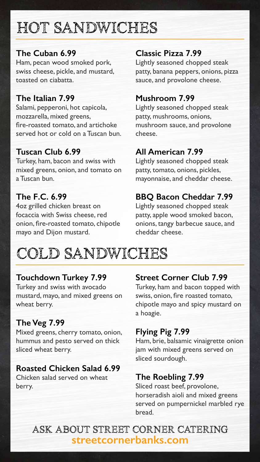# HOT SANDWICHES

### **The Cuban 6.99**

Ham, pecan wood smoked pork, swiss cheese, pickle, and mustard, toasted on ciabatta.

#### **The Italian 7.99**

Salami, pepperoni, hot capicola, mozzarella, mixed greens, fire-roasted tomato, and artichoke served hot or cold on a Tuscan bun.

#### **Tuscan Club 6.99**

Turkey, ham, bacon and swiss with mixed greens, onion, and tomato on a Tuscan bun.

**The F.C. 6.99**  4oz grilled chicken breast on focaccia with Swiss cheese, red onion, fire-roasted tomato, chipotle mayo and Dijon mustard.

#### **Classic Pizza 7.99**

Lightly seasoned chopped steak patty, banana peppers, onions, pizza sauce, and provolone cheese.

#### **Mushroom 7.99**

Lightly seasoned chopped steak patty, mushrooms, onions, mushroom sauce, and provolone cheese.

#### **All American 7.99**

Lightly seasoned chopped steak patty, tomato, onions, pickles, mayonnaise, and cheddar cheese.

#### **BBQ Bacon Cheddar 7.99**

Lightly seasoned chopped steak patty, apple wood smoked bacon, onions, tangy barbecue sauce, and cheddar cheese.

#### **Touchdown Turkey 7.99**

Turkey and swiss with avocado mustard, mayo, and mixed greens on wheat berry.

#### **The Veg 7.99**

Mixed greens, cherry tomato, onion, hummus and pesto served on thick sliced wheat berry.

#### **Roasted Chicken Salad 6.99**

Chicken salad served on wheat berry.

#### **Street Corner Club 7.99**

Turkey, ham and bacon topped with swiss, onion, fire roasted tomato, chipotle mayo and spicy mustard on a hoagie.

# **Flying Pig 7.99**

Ham, brie, balsamic vinaigrette onion jam with mixed greens served on sliced sourdough.

### **The Roebling 7.99**

Sliced roast beef, provolone, horseradish aioli and mixed greens served on pumpernickel marbled rye bread.

# COLD SANDWICHES

# ASK ABOUT STREET CORNER CATERING **streetcornerbanks.com**